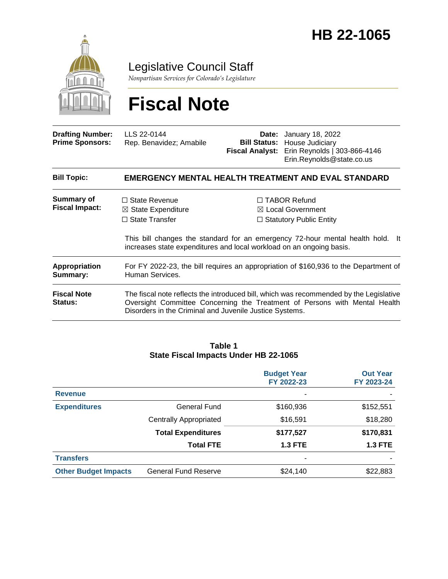

Legislative Council Staff

*Nonpartisan Services for Colorado's Legislature*

# **Fiscal Note**

| <b>Drafting Number:</b><br><b>Prime Sponsors:</b> | LLS 22-0144<br>Rep. Benavidez; Amabile                                                                                                                                                                                          | <b>Fiscal Analyst:</b>                                                                | <b>Date:</b> January 18, 2022<br><b>Bill Status: House Judiciary</b><br>Erin Reynolds   303-866-4146<br>Erin.Reynolds@state.co.us |  |  |
|---------------------------------------------------|---------------------------------------------------------------------------------------------------------------------------------------------------------------------------------------------------------------------------------|---------------------------------------------------------------------------------------|-----------------------------------------------------------------------------------------------------------------------------------|--|--|
| <b>Bill Topic:</b>                                |                                                                                                                                                                                                                                 |                                                                                       | EMERGENCY MENTAL HEALTH TREATMENT AND EVAL STANDARD                                                                               |  |  |
| <b>Summary of</b><br><b>Fiscal Impact:</b>        | $\Box$ State Revenue<br>$\boxtimes$ State Expenditure<br>$\Box$ State Transfer                                                                                                                                                  | $\Box$ TABOR Refund<br>$\boxtimes$ Local Government<br>$\Box$ Statutory Public Entity |                                                                                                                                   |  |  |
|                                                   | This bill changes the standard for an emergency 72-hour mental health hold. It<br>increases state expenditures and local workload on an ongoing basis.                                                                          |                                                                                       |                                                                                                                                   |  |  |
| <b>Appropriation</b><br>Summary:                  | For FY 2022-23, the bill requires an appropriation of \$160,936 to the Department of<br>Human Services.                                                                                                                         |                                                                                       |                                                                                                                                   |  |  |
| <b>Fiscal Note</b><br>Status:                     | The fiscal note reflects the introduced bill, which was recommended by the Legislative<br>Oversight Committee Concerning the Treatment of Persons with Mental Health<br>Disorders in the Criminal and Juvenile Justice Systems. |                                                                                       |                                                                                                                                   |  |  |

### **Table 1 State Fiscal Impacts Under HB 22-1065**

|                             |                               | <b>Budget Year</b><br>FY 2022-23 | <b>Out Year</b><br>FY 2023-24 |
|-----------------------------|-------------------------------|----------------------------------|-------------------------------|
| <b>Revenue</b>              |                               | ۰                                |                               |
| <b>Expenditures</b>         | General Fund                  | \$160,936                        | \$152,551                     |
|                             | <b>Centrally Appropriated</b> | \$16,591                         | \$18,280                      |
|                             | <b>Total Expenditures</b>     | \$177,527                        | \$170,831                     |
|                             | <b>Total FTE</b>              | <b>1.3 FTE</b>                   | <b>1.3 FTE</b>                |
| <b>Transfers</b>            |                               |                                  |                               |
| <b>Other Budget Impacts</b> | <b>General Fund Reserve</b>   | \$24,140                         | \$22,883                      |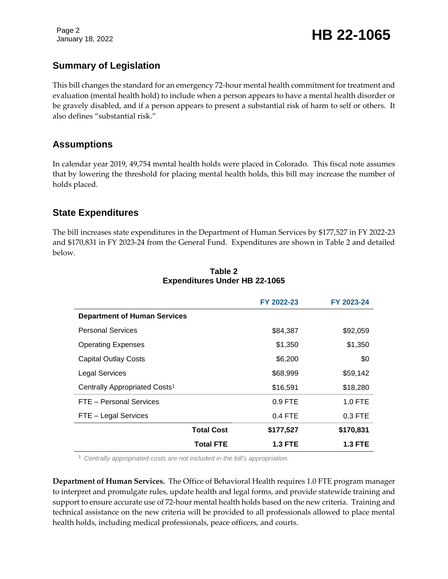Page 2

### January 18, 2022 **HB 22-1065**

### **Summary of Legislation**

This bill changes the standard for an emergency 72-hour mental health commitment for treatment and evaluation (mental health hold) to include when a person appears to have a mental health disorder or be gravely disabled, and if a person appears to present a substantial risk of harm to self or others. It also defines "substantial risk."

### **Assumptions**

In calendar year 2019, 49,754 mental health holds were placed in Colorado. This fiscal note assumes that by lowering the threshold for placing mental health holds, this bill may increase the number of holds placed.

### **State Expenditures**

The bill increases state expenditures in the Department of Human Services by \$177,527 in FY 2022-23 and \$170,831 in FY 2023-24 from the General Fund. Expenditures are shown in Table 2 and detailed below.

|                                           |                   | FY 2022-23     | FY 2023-24     |  |
|-------------------------------------------|-------------------|----------------|----------------|--|
| <b>Department of Human Services</b>       |                   |                |                |  |
| <b>Personal Services</b>                  |                   | \$84,387       | \$92,059       |  |
| <b>Operating Expenses</b>                 |                   | \$1,350        | \$1,350        |  |
| <b>Capital Outlay Costs</b>               |                   | \$6,200        | \$0            |  |
| <b>Legal Services</b>                     |                   | \$68,999       | \$59,142       |  |
| Centrally Appropriated Costs <sup>1</sup> |                   | \$16,591       | \$18,280       |  |
| FTE - Personal Services                   |                   | $0.9$ FTE      | 1.0 FTE        |  |
| FTE - Legal Services                      |                   | $0.4$ FTE      | 0.3 FTE        |  |
|                                           | <b>Total Cost</b> | \$177,527      | \$170,831      |  |
|                                           | <b>Total FTE</b>  | <b>1.3 FTE</b> | <b>1.3 FTE</b> |  |

#### **Table 2 Expenditures Under HB 22-1065**

<sup>1</sup> *Centrally appropriated costs are not included in the bill's appropriation.*

**Department of Human Services.** The Office of Behavioral Health requires 1.0 FTE program manager to interpret and promulgate rules, update health and legal forms, and provide statewide training and support to ensure accurate use of 72-hour mental health holds based on the new criteria. Training and technical assistance on the new criteria will be provided to all professionals allowed to place mental health holds, including medical professionals, peace officers, and courts.